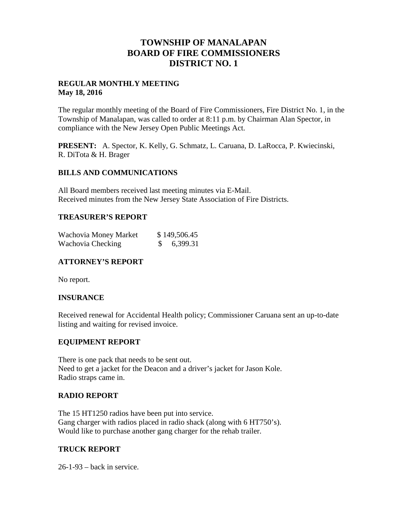## **TOWNSHIP OF MANALAPAN BOARD OF FIRE COMMISSIONERS DISTRICT NO. 1**

#### **REGULAR MONTHLY MEETING May 18, 2016**

The regular monthly meeting of the Board of Fire Commissioners, Fire District No. 1, in the Township of Manalapan, was called to order at 8:11 p.m. by Chairman Alan Spector, in compliance with the New Jersey Open Public Meetings Act.

**PRESENT:** A. Spector, K. Kelly, G. Schmatz, L. Caruana, D. LaRocca, P. Kwiecinski, R. DiTota & H. Brager

#### **BILLS AND COMMUNICATIONS**

All Board members received last meeting minutes via E-Mail. Received minutes from the New Jersey State Association of Fire Districts.

### **TREASURER'S REPORT**

| Wachovia Money Market | \$149,506.45 |
|-----------------------|--------------|
| Wachovia Checking     | \$6,399.31   |

## **ATTORNEY'S REPORT**

No report.

#### **INSURANCE**

Received renewal for Accidental Health policy; Commissioner Caruana sent an up-to-date listing and waiting for revised invoice.

## **EQUIPMENT REPORT**

There is one pack that needs to be sent out. Need to get a jacket for the Deacon and a driver's jacket for Jason Kole. Radio straps came in.

#### **RADIO REPORT**

The 15 HT1250 radios have been put into service. Gang charger with radios placed in radio shack (along with 6 HT750's). Would like to purchase another gang charger for the rehab trailer.

## **TRUCK REPORT**

26-1-93 – back in service.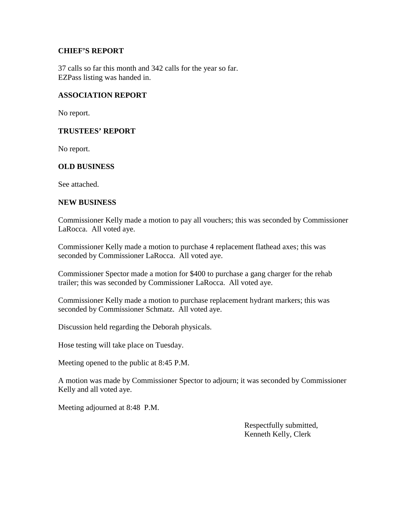#### **CHIEF'S REPORT**

37 calls so far this month and 342 calls for the year so far. EZPass listing was handed in.

## **ASSOCIATION REPORT**

No report.

## **TRUSTEES' REPORT**

No report.

## **OLD BUSINESS**

See attached.

#### **NEW BUSINESS**

Commissioner Kelly made a motion to pay all vouchers; this was seconded by Commissioner LaRocca. All voted aye.

Commissioner Kelly made a motion to purchase 4 replacement flathead axes; this was seconded by Commissioner LaRocca. All voted aye.

Commissioner Spector made a motion for \$400 to purchase a gang charger for the rehab trailer; this was seconded by Commissioner LaRocca. All voted aye.

Commissioner Kelly made a motion to purchase replacement hydrant markers; this was seconded by Commissioner Schmatz. All voted aye.

Discussion held regarding the Deborah physicals.

Hose testing will take place on Tuesday.

Meeting opened to the public at 8:45 P.M.

A motion was made by Commissioner Spector to adjourn; it was seconded by Commissioner Kelly and all voted aye.

Meeting adjourned at 8:48 P.M.

Respectfully submitted, Kenneth Kelly, Clerk